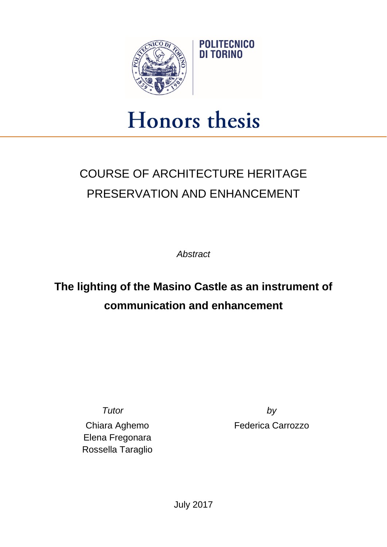

## Honors thesis

## COURSE OF ARCHITECTURE HERITAGE PRESERVATION AND ENHANCEMENT

*Abstract*

## **The lighting of the Masino Castle as an instrument of communication and enhancement**

Chiara Aghemo Elena Fregonara Rossella Taraglio

*Tutor by* Federica Carrozzo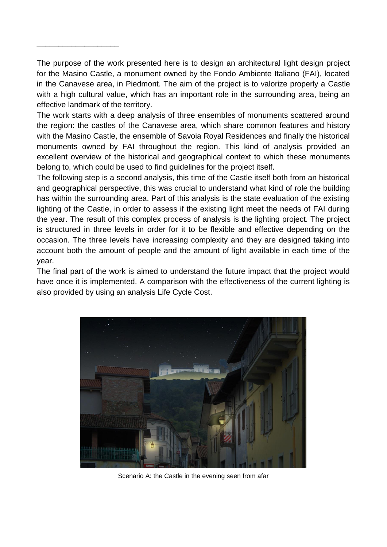The purpose of the work presented here is to design an architectural light design project for the Masino Castle, a monument owned by the Fondo Ambiente Italiano (FAI), located in the Canavese area, in Piedmont. The aim of the project is to valorize properly a Castle with a high cultural value, which has an important role in the surrounding area, being an effective landmark of the territory.

\_\_\_\_\_\_\_\_\_\_\_\_\_\_\_\_\_\_\_

The work starts with a deep analysis of three ensembles of monuments scattered around the region: the castles of the Canavese area, which share common features and history with the Masino Castle, the ensemble of Savoia Royal Residences and finally the historical monuments owned by FAI throughout the region. This kind of analysis provided an excellent overview of the historical and geographical context to which these monuments belong to, which could be used to find guidelines for the project itself.

The following step is a second analysis, this time of the Castle itself both from an historical and geographical perspective, this was crucial to understand what kind of role the building has within the surrounding area. Part of this analysis is the state evaluation of the existing lighting of the Castle, in order to assess if the existing light meet the needs of FAI during the year. The result of this complex process of analysis is the lighting project. The project is structured in three levels in order for it to be flexible and effective depending on the occasion. The three levels have increasing complexity and they are designed taking into account both the amount of people and the amount of light available in each time of the year.

The final part of the work is aimed to understand the future impact that the project would have once it is implemented. A comparison with the effectiveness of the current lighting is also provided by using an analysis Life Cycle Cost.



Scenario A: the Castle in the evening seen from afar